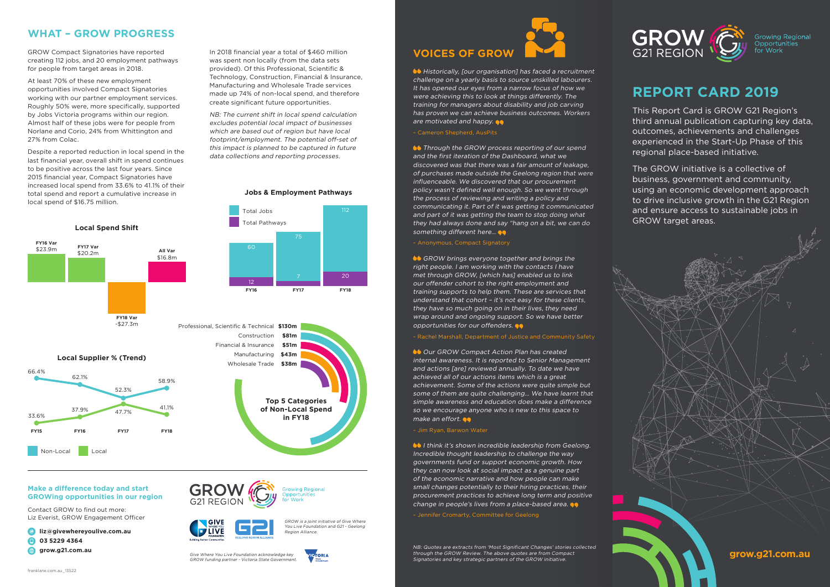

# **REPORT CARD 2019**

This Report Card is GROW G21 Region's third annual publication capturing key data, outcomes, achievements and challenges experienced in the Start-Up Phase of this regional place-based initiative.

The GROW initiative is a collective of business, government and community, using an economic development approach to drive inclusive growth in the G21 Region and ensure access to sustainable jobs in GROW target areas.

### **Make a difference today and start GROWing opportunities in our region**

Contact GROW to find out more: Liz Everist, GROW Engagement Officer

- **liz@givewhereyoulive.com.au**
- **03 5229 4364**
- **grow.g21.com.au**

GROW is a joint initiative of Give Where You Live Foundation and G21 - Geelong

Region Alliance.

Give Where You Live Foundation acknowledge key GROW funding partner - Victoria State Government.

**G21 REGION** 

## **WHAT – GROW PROGRESS**

GROW Compact Signatories have reported creating 112 jobs, and 20 employment pathways for people from target areas in 2018.

At least 70% of these new employment opportunities involved Compact Signatories working with our partner employment services. Roughly 50% were, more specifically, supported by Jobs Victoria programs within our region. Almost half of these jobs were for people from Norlane and Corio, 24% from Whittington and 27% from Colac.

Despite a reported reduction in local spend in the last financial year, overall shift in spend continues to be positive across the last four years. Since 2015 financial year, Compact Signatories have increased local spend from 33.6% to 41.1% of their total spend and report a cumulative increase in local spend of \$16.75 million.



GROW brings everyone together and brings the right people. I am working with the contacts I have met through GROW, [which has] enabled us to link our offender cohort to the right employment and training supports to help them. These are services that understand that cohort – it's not easy for these clients, they have so much going on in their lives, they need wrap around and ongoing support. So we have better opportunities for our offenders.

NB: The current shift in local spend calculation excludes potential local impact of businesses which are based out of region but have local footprint/employment. The potential off-set of this impact is planned to be captured in future data collections and reporting processes.

# **VOICES OF GROW**

**Co** Historically, [our organisation] has faced a recruitment challenge on a yearly basis to source unskilled labourers. It has opened our eyes from a narrow focus of how we were achieving this to look at things differently. The training for managers about disability and job carving has proven we can achieve business outcomes. Workers are motivated and happy.

**Solut** Through the GROW process reporting of our spend and the first iteration of the Dashboard, what we discovered was that there was a fair amount of leakage, of purchases made outside the Geelong region that were influenceable. We discovered that our procurement policy wasn't defined well enough. So we went through the process of reviewing and writing a policy and communicating it. Part of it was getting it communicated and part of it was getting the team to stop doing what they had always done and say "hang on a bit, we can do something different here...  $\bullet\bullet$ 

– Anonymous, Compact Signatory



– Rachel Marshall, Department of Justice and Community Safety

**OUR GROW Compact Action Plan has created** internal awareness. It is reported to Senior Management and actions [are] reviewed annually. To date we have achieved all of our actions items which is a great achievement. Some of the actions were quite simple but some of them are quite challenging… We have learnt that simple awareness and education does make a difference so we encourage anyone who is new to this space to make an effort.  $\bullet\bullet$ 

### – Jim Ryan, Barwon Water

**I** I think it's shown incredible leadership from Geelong. Incredible thought leadership to challenge the way governments fund or support economic growth. How they can now look at social impact as a genuine part of the economic narrative and how people can make small changes potentially to their hiring practices, their procurement practices to achieve long term and positive change in people's lives from a place-based area.

– Jennifer Cromarty, Committee for Geelong

NB: Quotes are extracts from 'Most Significant Changes' stories collected through the GROW Review. The above quotes are from Compact Signatories and key strategic partners of the GROW initiative.



**Growing Regional** 

Total Jobs 112

**Jobs & Employment Pathways**